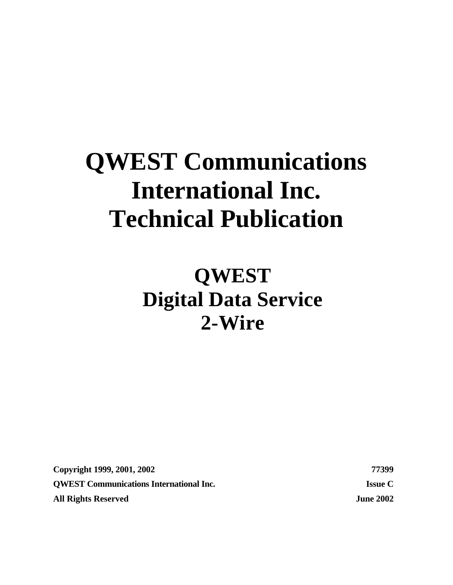# **QWEST Communications International Inc. Technical Publication**

**QWEST Digital Data Service 2-Wire**

**Copyright 1999, 2001, 2002 77399 QWEST Communications International Inc. Issue C All Rights Reserved June 2002**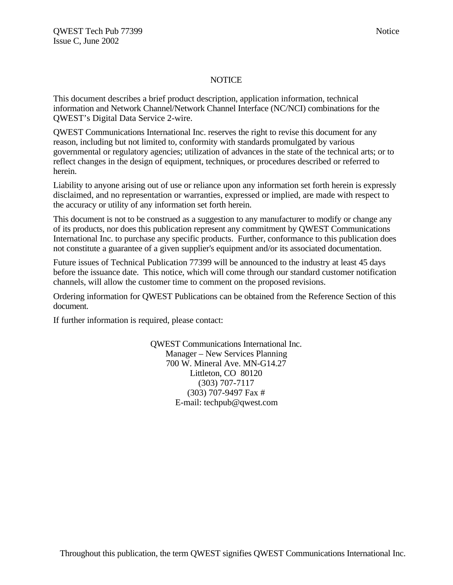#### NOTICE

This document describes a brief product description, application information, technical information and Network Channel/Network Channel Interface (NC/NCI) combinations for the QWEST's Digital Data Service 2-wire.

QWEST Communications International Inc. reserves the right to revise this document for any reason, including but not limited to, conformity with standards promulgated by various governmental or regulatory agencies; utilization of advances in the state of the technical arts; or to reflect changes in the design of equipment, techniques, or procedures described or referred to herein.

Liability to anyone arising out of use or reliance upon any information set forth herein is expressly disclaimed, and no representation or warranties, expressed or implied, are made with respect to the accuracy or utility of any information set forth herein.

This document is not to be construed as a suggestion to any manufacturer to modify or change any of its products, nor does this publication represent any commitment by QWEST Communications International Inc. to purchase any specific products. Further, conformance to this publication does not constitute a guarantee of a given supplier's equipment and/or its associated documentation.

Future issues of Technical Publication 77399 will be announced to the industry at least 45 days before the issuance date. This notice, which will come through our standard customer notification channels, will allow the customer time to comment on the proposed revisions.

Ordering information for QWEST Publications can be obtained from the Reference Section of this document.

If further information is required, please contact:

QWEST Communications International Inc. Manager – New Services Planning 700 W. Mineral Ave. MN-G14.27 Littleton, CO 80120 (303) 707-7117 (303) 707-9497 Fax # E-mail: techpub@qwest.com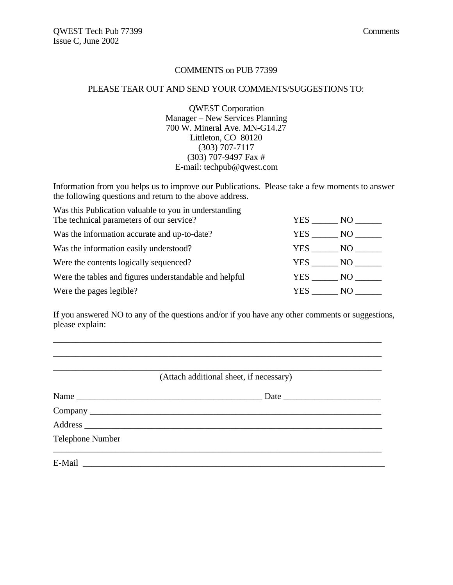#### COMMENTS on PUB 77399

#### PLEASE TEAR OUT AND SEND YOUR COMMENTS/SUGGESTIONS TO:

QWEST Corporation Manager – New Services Planning 700 W. Mineral Ave. MN-G14.27 Littleton, CO 80120 (303) 707-7117 (303) 707-9497 Fax # E-mail: techpub@qwest.com

Information from you helps us to improve our Publications. Please take a few moments to answer the following questions and return to the above address.

| Was this Publication valuable to you in understanding  |                   |     |
|--------------------------------------------------------|-------------------|-----|
| The technical parameters of our service?               | YES               | NO  |
| Was the information accurate and up-to-date?           | YES NO            |     |
| Was the information easily understood?                 | YES NO            |     |
| Were the contents logically sequenced?                 | $YES$ NO $\qquad$ |     |
| Were the tables and figures understandable and helpful | YES NO            |     |
| Were the pages legible?                                | YES.              | NO. |

If you answered NO to any of the questions and/or if you have any other comments or suggestions, please explain:

\_\_\_\_\_\_\_\_\_\_\_\_\_\_\_\_\_\_\_\_\_\_\_\_\_\_\_\_\_\_\_\_\_\_\_\_\_\_\_\_\_\_\_\_\_\_\_\_\_\_\_\_\_\_\_\_\_\_\_\_\_\_\_\_\_\_\_\_\_\_\_\_\_\_

|                  | (Attach additional sheet, if necessary) |
|------------------|-----------------------------------------|
| Name             |                                         |
|                  |                                         |
|                  |                                         |
| Telephone Number |                                         |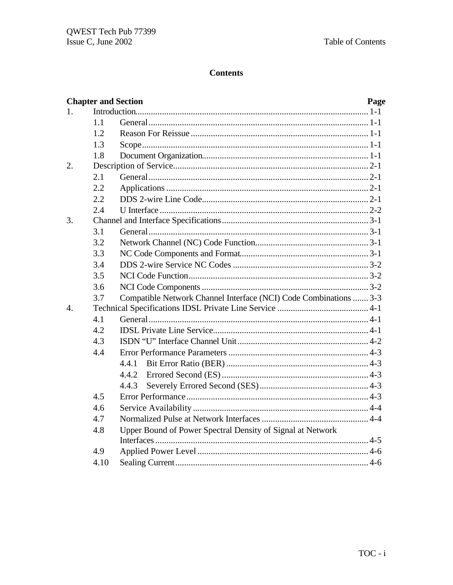# **Contents**

|                | <b>Chapter and Section</b> | Page                                                              |  |
|----------------|----------------------------|-------------------------------------------------------------------|--|
| $\mathbf{1}$ . |                            |                                                                   |  |
|                | 1.1                        |                                                                   |  |
|                | 1.2                        |                                                                   |  |
|                | 1.3                        |                                                                   |  |
|                | 1.8                        |                                                                   |  |
| 2.             |                            |                                                                   |  |
|                | 2.1                        |                                                                   |  |
|                | 2.2                        |                                                                   |  |
|                | 2.2                        |                                                                   |  |
|                | 2.4                        |                                                                   |  |
| 3.             |                            |                                                                   |  |
|                | 3.1                        |                                                                   |  |
|                | 3.2                        |                                                                   |  |
|                | 3.3                        |                                                                   |  |
|                | 3.4                        |                                                                   |  |
|                | 3.5                        |                                                                   |  |
|                | 3.6                        |                                                                   |  |
|                | 3.7                        | Compatible Network Channel Interface (NCI) Code Combinations  3-3 |  |
| $\mathbf{4}$ . |                            |                                                                   |  |
|                | 4.1                        |                                                                   |  |
|                | 4.2                        |                                                                   |  |
|                | 4.3                        |                                                                   |  |
|                | 4.4                        |                                                                   |  |
|                |                            |                                                                   |  |
|                |                            | 4.4.2                                                             |  |
|                |                            | 4.4.3                                                             |  |
|                | 4.5                        |                                                                   |  |
|                | 4.6                        |                                                                   |  |
|                | 4.7                        |                                                                   |  |
|                | 4.8                        | Upper Bound of Power Spectral Density of Signal at Network        |  |
|                |                            |                                                                   |  |
|                | 4.9                        |                                                                   |  |
|                | 4.10                       |                                                                   |  |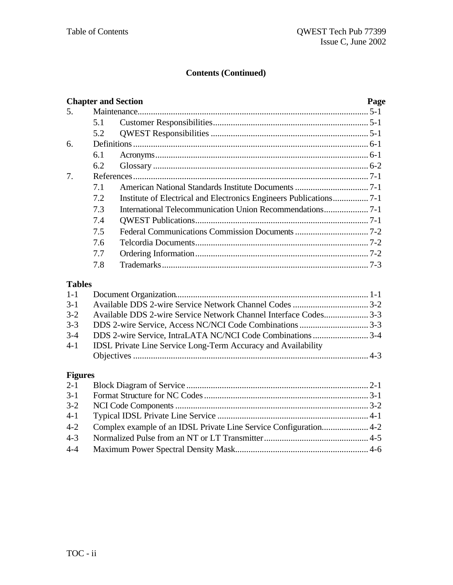# **Contents (Continued)**

|                |     | <b>Chapter and Section</b>                                           | Page |
|----------------|-----|----------------------------------------------------------------------|------|
| 5.             |     |                                                                      |      |
|                | 5.1 |                                                                      |      |
|                | 5.2 |                                                                      |      |
| 6.             |     |                                                                      |      |
|                | 6.1 |                                                                      |      |
|                | 6.2 |                                                                      |      |
| 7.             |     |                                                                      |      |
|                | 7.1 |                                                                      |      |
|                | 7.2 | Institute of Electrical and Electronics Engineers Publications7-1    |      |
|                | 7.3 |                                                                      |      |
|                | 7.4 |                                                                      |      |
|                | 7.5 |                                                                      |      |
|                | 7.6 |                                                                      |      |
|                | 7.7 |                                                                      |      |
|                | 7.8 |                                                                      |      |
| <b>Tables</b>  |     |                                                                      |      |
| $1 - 1$        |     |                                                                      |      |
| $3-1$          |     |                                                                      |      |
| $3 - 2$        |     | Available DDS 2-wire Service Network Channel Interface Codes 3-3     |      |
| $3 - 3$        |     |                                                                      |      |
| $3 - 4$        |     | DDS 2-wire Service, IntraLATA NC/NCI Code Combinations 3-4           |      |
| $4 - 1$        |     | <b>IDSL Private Line Service Long-Term Accuracy and Availability</b> |      |
|                |     |                                                                      |      |
| <b>Figures</b> |     |                                                                      |      |
| $2 - 1$        |     |                                                                      |      |
| $3 - 1$        |     |                                                                      |      |
| $3 - 2$        |     |                                                                      |      |
| $4 - 1$        |     |                                                                      |      |
| $4 - 2$        |     |                                                                      |      |

4-3 Normalized Pulse from an NT or LT Transmitter............................................... 4-5 4-4 Maximum Power Spectral Density Mask............................................................ 4-6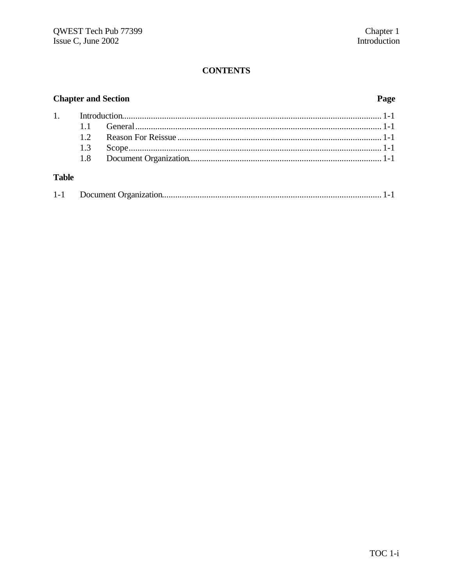# **CONTENTS**

# **Chapter and Section**

# Page

| 1. |  |  |
|----|--|--|
|    |  |  |
|    |  |  |
|    |  |  |
|    |  |  |
|    |  |  |

# **Table**

| $1-1$ |  |  |  |
|-------|--|--|--|
|-------|--|--|--|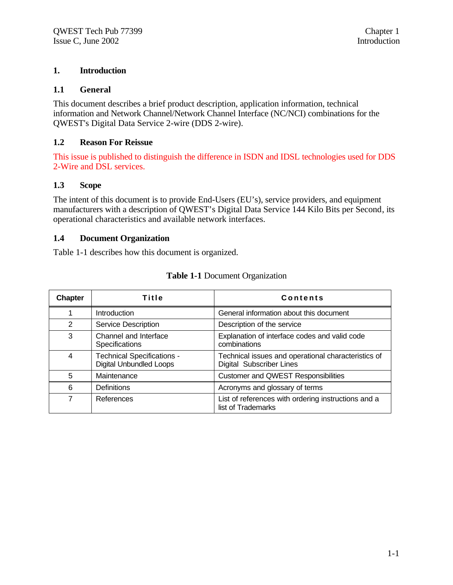#### **1. Introduction**

#### **1.1 General**

This document describes a brief product description, application information, technical information and Network Channel/Network Channel Interface (NC/NCI) combinations for the QWEST's Digital Data Service 2-wire (DDS 2-wire).

#### **1.2 Reason For Reissue**

This issue is published to distinguish the difference in ISDN and IDSL technologies used for DDS 2-Wire and DSL services.

#### **1.3 Scope**

The intent of this document is to provide End-Users (EU's), service providers, and equipment manufacturers with a description of QWEST's Digital Data Service 144 Kilo Bits per Second, its operational characteristics and available network interfaces.

#### **1.4 Document Organization**

Table 1-1 describes how this document is organized.

| <b>Chapter</b> | Title                                                               | <b>Contents</b>                                                                        |
|----------------|---------------------------------------------------------------------|----------------------------------------------------------------------------------------|
|                | <b>Introduction</b>                                                 | General information about this document                                                |
| 2              | Service Description                                                 | Description of the service                                                             |
| 3              | Channel and Interface<br><b>Specifications</b>                      | Explanation of interface codes and valid code<br>combinations                          |
| 4              | <b>Technical Specifications -</b><br><b>Digital Unbundled Loops</b> | Technical issues and operational characteristics of<br><b>Digital Subscriber Lines</b> |
| 5              | Maintenance                                                         | <b>Customer and QWEST Responsibilities</b>                                             |
| 6              | <b>Definitions</b>                                                  | Acronyms and glossary of terms                                                         |
| 7              | References                                                          | List of references with ordering instructions and a<br>list of Trademarks              |

#### **Table 1-1** Document Organization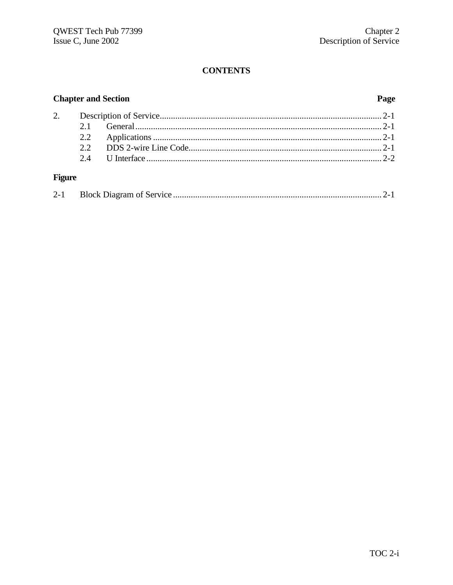# **CONTENTS**

# **Chapter and Section**

# Page

# **Figure**

|--|--|--|--|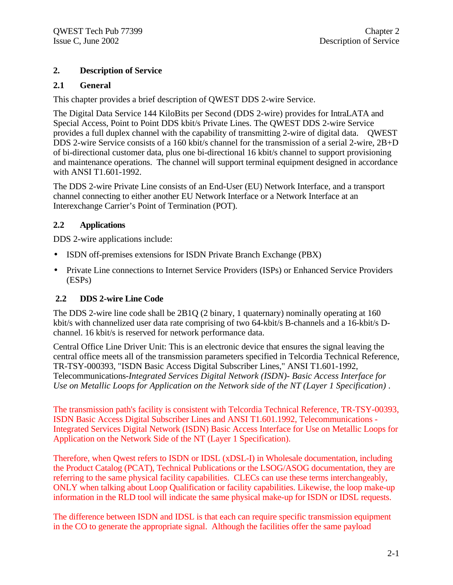# **2. Description of Service**

### **2.1 General**

This chapter provides a brief description of QWEST DDS 2-wire Service.

The Digital Data Service 144 KiloBits per Second (DDS 2-wire) provides for IntraLATA and Special Access, Point to Point DDS kbit/s Private Lines. The QWEST DDS 2-wire Service provides a full duplex channel with the capability of transmitting 2-wire of digital data.QWEST DDS 2-wire Service consists of a 160 kbit/s channel for the transmission of a serial 2-wire, 2B+D of bi-directional customer data, plus one bi-directional 16 kbit/s channel to support provisioning and maintenance operations. The channel will support terminal equipment designed in accordance with ANSI T1.601-1992.

The DDS 2-wire Private Line consists of an End-User (EU) Network Interface, and a transport channel connecting to either another EU Network Interface or a Network Interface at an Interexchange Carrier's Point of Termination (POT).

#### **2.2 Applications**

DDS 2-wire applications include:

- ISDN off-premises extensions for ISDN Private Branch Exchange (PBX)
- Private Line connections to Internet Service Providers (ISPs) or Enhanced Service Providers (ESPs)

# **2.2 DDS 2-wire Line Code**

The DDS 2-wire line code shall be 2B1Q (2 binary, 1 quaternary) nominally operating at 160 kbit/s with channelized user data rate comprising of two 64-kbit/s B-channels and a 16-kbit/s Dchannel. 16 kbit/s is reserved for network performance data.

Central Office Line Driver Unit: This is an electronic device that ensures the signal leaving the central office meets all of the transmission parameters specified in Telcordia Technical Reference, TR-TSY-000393, "ISDN Basic Access Digital Subscriber Lines," ANSI T1.601-1992, Telecommunications-*Integrated Services Digital Network (ISDN)- Basic Access Interface for Use on Metallic Loops for Application on the Network side of the NT (Layer 1 Specification)* .

The transmission path's facility is consistent with Telcordia Technical Reference, TR-TSY-00393, ISDN Basic Access Digital Subscriber Lines and ANSI T1.601.1992, Telecommunications - Integrated Services Digital Network (ISDN) Basic Access Interface for Use on Metallic Loops for Application on the Network Side of the NT (Layer 1 Specification).

Therefore, when Qwest refers to ISDN or IDSL (xDSL-I) in Wholesale documentation, including the Product Catalog (PCAT), Technical Publications or the LSOG/ASOG documentation, they are referring to the same physical facility capabilities. CLECs can use these terms interchangeably, ONLY when talking about Loop Qualification or facility capabilities. Likewise, the loop make-up information in the RLD tool will indicate the same physical make-up for ISDN or IDSL requests.

The difference between ISDN and IDSL is that each can require specific transmission equipment in the CO to generate the appropriate signal. Although the facilities offer the same payload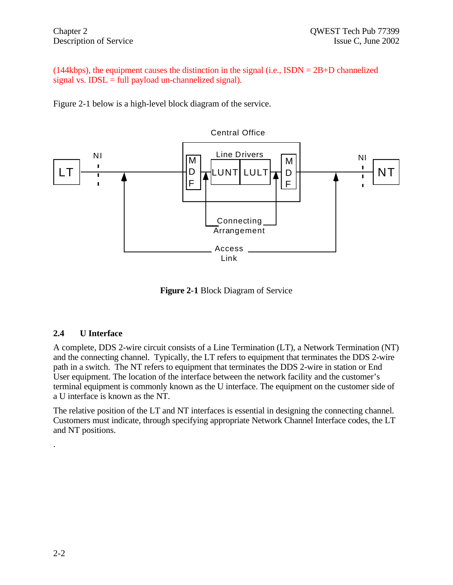(144kbps), the equipment causes the distinction in the signal (i.e.,  $ISBN = 2B + D$  channelized signal vs.  $IDSL = full$  payload un-channelized signal).

Figure 2-1 below is a high-level block diagram of the service.



**Figure 2-1** Block Diagram of Service

# **2.4 U Interface**

A complete, DDS 2-wire circuit consists of a Line Termination (LT), a Network Termination (NT) and the connecting channel. Typically, the LT refers to equipment that terminates the DDS 2-wire path in a switch. The NT refers to equipment that terminates the DDS 2-wire in station or End User equipment. The location of the interface between the network facility and the customer's terminal equipment is commonly known as the U interface. The equipment on the customer side of a U interface is known as the NT.

The relative position of the LT and NT interfaces is essential in designing the connecting channel. Customers must indicate, through specifying appropriate Network Channel Interface codes, the LT and NT positions.

.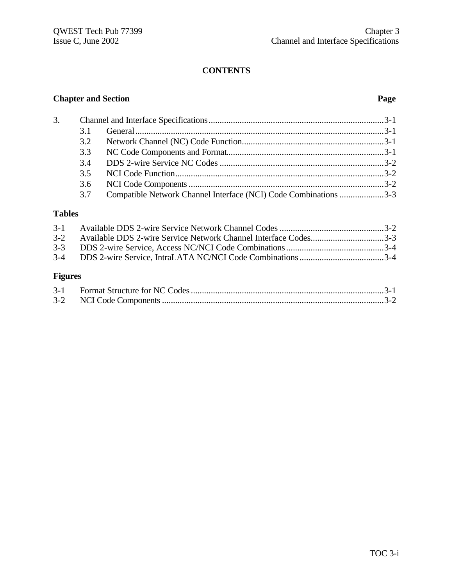# **CONTENTS**

# **Chapter and Section Page**

| 3. |     |                                                                  |  |
|----|-----|------------------------------------------------------------------|--|
|    | 31  |                                                                  |  |
|    | 3.2 |                                                                  |  |
|    | 3.3 |                                                                  |  |
|    |     |                                                                  |  |
|    |     |                                                                  |  |
|    | 3.6 |                                                                  |  |
|    | 3.7 | Compatible Network Channel Interface (NCI) Code Combinations 3-3 |  |

# **Tables**

| 3-2 Available DDS 2-wire Service Network Channel Interface Codes3-3 |  |
|---------------------------------------------------------------------|--|
|                                                                     |  |
|                                                                     |  |
|                                                                     |  |
|                                                                     |  |

# **Figures**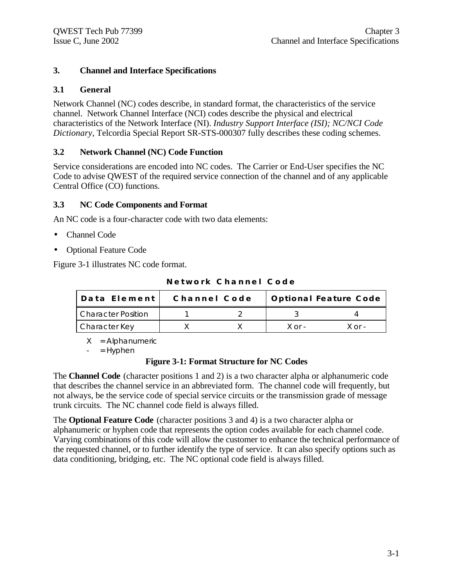# **3. Channel and Interface Specifications**

### **3.1 General**

Network Channel (NC) codes describe, in standard format, the characteristics of the service channel. Network Channel Interface (NCI) codes describe the physical and electrical characteristics of the Network Interface (NI). *Industry Support Interface (ISI); NC/NCI Code Dictionary*, Telcordia Special Report SR-STS-000307 fully describes these coding schemes.

### **3.2 Network Channel (NC) Code Function**

Service considerations are encoded into NC codes. The Carrier or End-User specifies the NC Code to advise QWEST of the required service connection of the channel and of any applicable Central Office (CO) functions.

#### **3.3 NC Code Components and Format**

An NC code is a four-character code with two data elements:

- Channel Code
- Optional Feature Code

Figure 3-1 illustrates NC code format.

| Network Channel Code |  |  |  |  |  |  |  |  |  |  |  |  |  |  |  |  |
|----------------------|--|--|--|--|--|--|--|--|--|--|--|--|--|--|--|--|
|----------------------|--|--|--|--|--|--|--|--|--|--|--|--|--|--|--|--|

| Data Element              | Channel Code |        | Optional Feature Code |
|---------------------------|--------------|--------|-----------------------|
| <b>Character Position</b> |              |        |                       |
| Character Key             |              | X or - | $X$ or -              |

 $X =$  Alphanumeric

 $=$  Hyphen

#### **Figure 3-1: Format Structure for NC Codes**

The **Channel Code** (character positions 1 and 2) is a two character alpha or alphanumeric code that describes the channel service in an abbreviated form. The channel code will frequently, but not always, be the service code of special service circuits or the transmission grade of message trunk circuits. The NC channel code field is always filled.

The **Optional Feature Code** (character positions 3 and 4) is a two character alpha or alphanumeric or hyphen code that represents the option codes available for each channel code. Varying combinations of this code will allow the customer to enhance the technical performance of the requested channel, or to further identify the type of service. It can also specify options such as data conditioning, bridging, etc. The NC optional code field is always filled.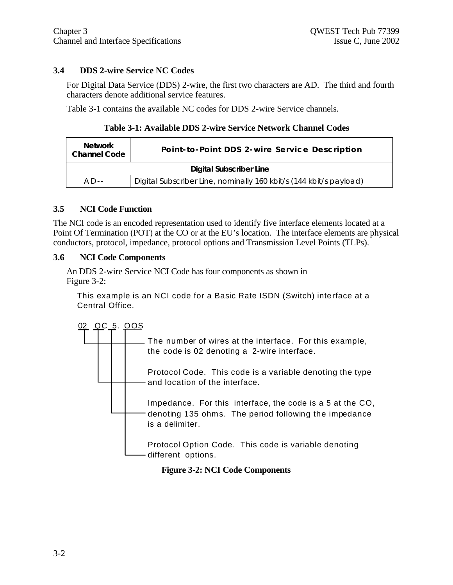### **3.4 DDS 2-wire Service NC Codes**

For Digital Data Service (DDS) 2-wire, the first two characters are AD. The third and fourth characters denote additional service features.

Table 3-1 contains the available NC codes for DDS 2-wire Service channels.

**Table 3-1: Available DDS 2-wire Service Network Channel Codes**

| <b>Network</b><br><b>Channel Code</b> | Point-to-Point DDS 2-wire Service Description                      |  |  |  |  |
|---------------------------------------|--------------------------------------------------------------------|--|--|--|--|
| <b>Digital Subscriber Line</b>        |                                                                    |  |  |  |  |
| $AD -$                                | Digital Subscriber Line, nominally 160 kbit/s (144 kbit/s payload) |  |  |  |  |

#### **3.5 NCI Code Function**

The NCI code is an encoded representation used to identify five interface elements located at a Point Of Termination (POT) at the CO or at the EU's location. The interface elements are physical conductors, protocol, impedance, protocol options and Transmission Level Points (TLPs).

#### **3.6 NCI Code Components**

An DDS 2-wire Service NCI Code has four components as shown in Figure 3-2:

This example is an NCI code for a Basic Rate ISDN (Switch) interface at a Central Office.



**Figure 3-2: NCI Code Components**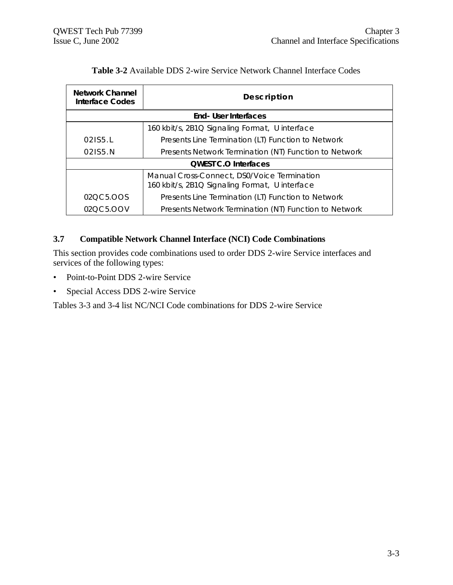| Network Channel<br>Interface Codes | Description                                                                                   |  |  |  |
|------------------------------------|-----------------------------------------------------------------------------------------------|--|--|--|
|                                    | <b>End- User Interfaces</b>                                                                   |  |  |  |
|                                    | 160 kbit/s, 2B1Q Signaling Format, U interface                                                |  |  |  |
| 02155.1                            | Presents Line Termination (LT) Function to Network                                            |  |  |  |
| 021S5.N                            | Presents Network Termination (NT) Function to Network                                         |  |  |  |
| <b>OWEST C.O Interfaces</b>        |                                                                                               |  |  |  |
|                                    | Manual Cross-Connect, DS0/Voice Termination<br>160 kbit/s, 2B1Q Signaling Format, U interface |  |  |  |
| 020C5.00S                          | Presents Line Termination (LT) Function to Network                                            |  |  |  |
| 02QC5.OOV                          | Presents Network Termination (NT) Function to Network                                         |  |  |  |

### **Table 3-2** Available DDS 2-wire Service Network Channel Interface Codes

# **3.7 Compatible Network Channel Interface (NCI) Code Combinations**

This section provides code combinations used to order DDS 2-wire Service interfaces and services of the following types:

- Point-to-Point DDS 2-wire Service
- Special Access DDS 2-wire Service

Tables 3-3 and 3-4 list NC/NCI Code combinations for DDS 2-wire Service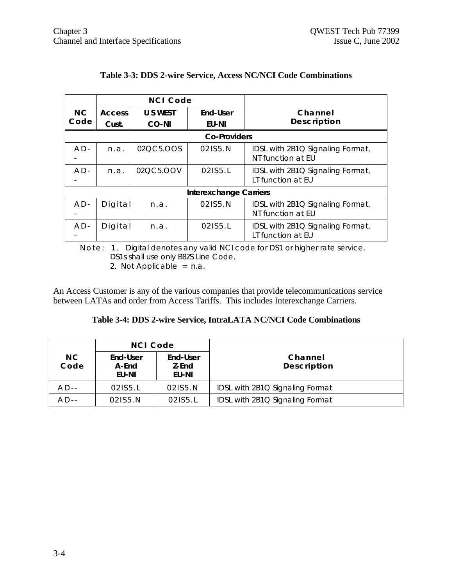|                |               | <b>NCI Code</b> |                               |                                  |
|----------------|---------------|-----------------|-------------------------------|----------------------------------|
| N <sub>C</sub> | <b>Access</b> | U S WEST        | End-User                      | Channel                          |
| Code           | Cust.         | CO-NI           | EU-NI                         | Description                      |
|                |               |                 | <b>Co-Providers</b>           |                                  |
| $AD -$         | n.a.          | 02QC5.OOS       | 021S5.N                       | IDSL with 2B1Q Signaling Format, |
|                |               |                 |                               | NT function at EU                |
| $AD -$         | n.a.          | 02QC5.OOV       | 021S5.L                       | IDSL with 2B1Q Signaling Format, |
|                |               |                 |                               | LT function at EU                |
|                |               |                 | <b>Interexchange Carriers</b> |                                  |
| $AD -$         | Digital       | n.a.            | 021S5.N                       | IDSL with 2B1Q Signaling Format, |
|                |               |                 |                               | NT function at EU                |
| $AD -$         | Digital       | n.a.            | 021S5.L                       | IDSL with 2B1Q Signaling Format, |
|                |               |                 |                               | LT function at EU                |

#### **Table 3-3: DDS 2-wire Service, Access NC/NCI Code Combinations**

Note: 1. Digital denotes any valid NCI code for DS1 or higher rate service. DS1s shall use only B8ZS Line Code.

2. Not Applicable = n.a.

An Access Customer is any of the various companies that provide telecommunications service between LATAs and order from Access Tariffs. This includes Interexchange Carriers.

#### **Table 3-4: DDS 2-wire Service, IntraLATA NC/NCI Code Combinations**

| <b>NCI Code</b> |                            |                            |                                 |
|-----------------|----------------------------|----------------------------|---------------------------------|
| NC<br>Code      | End-User<br>A-End<br>EU-NI | End-User<br>Z-End<br>EU-NI | Channel<br>Description          |
| $AD -$          | 021S5.L                    | 021S5.N                    | IDSL with 2B1Q Signaling Format |
| $AD -$          | 021S5.N                    | 021S5.L                    | IDSL with 2B1Q Signaling Format |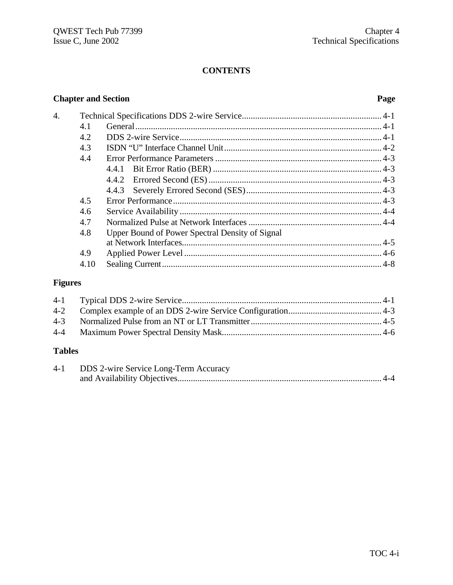### **CONTENTS**

# **Chapter and Section Page** 4. Technical Specifications DDS 2-wire Service............................................................... 4-1 4.1 General............................................................................................................... 4-1 4.2 DDS 2-wire Service........................................................................................... 4-1 4.3 ISDN "U" Interface Channel Unit....................................................................... 4-2 4.4 Error Performance Parameters ........................................................................... 4-3 4.4.1 Bit Error Ratio (BER) ............................................................................ 4-3 4.4.2 Errored Second (ES).............................................................................. 4-3 4.4.3 Severely Errored Second (SES)............................................................. 4-3 4.5 Error Performance.............................................................................................. 4-3 4.6 Service Availability ........................................................................................... 4-4 4.7 Normalized Pulse at Network Interfaces............................................................ 4-4 4.8 Upper Bound of Power Spectral Density of Signal at Network Interfaces.......................................................................................... 4-5 4.9 Applied Power Level ......................................................................................... 4-6 4.10 Sealing Current................................................................................................... 4-8

#### **Figures**

#### **Tables**

| $4 - 1$ | <b>DDS</b> 2-wire Service Long-Term Accuracy |
|---------|----------------------------------------------|
|         |                                              |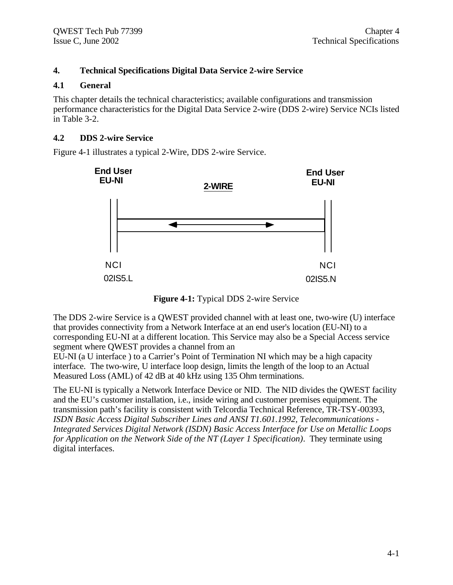### **4. Technical Specifications Digital Data Service 2-wire Service**

#### **4.1 General**

This chapter details the technical characteristics; available configurations and transmission performance characteristics for the Digital Data Service 2-wire (DDS 2-wire) Service NCIs listed in Table 3-2.

#### **4.2 DDS 2-wire Service**

Figure 4-1 illustrates a typical 2-Wire, DDS 2-wire Service.



**Figure 4-1:** Typical DDS 2-wire Service

The DDS 2-wire Service is a QWEST provided channel with at least one, two-wire (U) interface that provides connectivity from a Network Interface at an end user's location (EU-NI) to a corresponding EU-NI at a different location. This Service may also be a Special Access service segment where QWEST provides a channel from an

EU-NI (a U interface ) to a Carrier's Point of Termination NI which may be a high capacity interface. The two-wire, U interface loop design, limits the length of the loop to an Actual Measured Loss (AML) of 42 dB at 40 kHz using 135 Ohm terminations.

The EU-NI is typically a Network Interface Device or NID. The NID divides the QWEST facility and the EU's customer installation, i.e., inside wiring and customer premises equipment. The transmission path's facility is consistent with Telcordia Technical Reference, TR-TSY-00393, *ISDN Basic Access Digital Subscriber Lines and ANSI T1.601.1992, Telecommunications - Integrated Services Digital Network (ISDN) Basic Access Interface for Use on Metallic Loops for Application on the Network Side of the NT (Layer 1 Specification)*. They terminate using digital interfaces.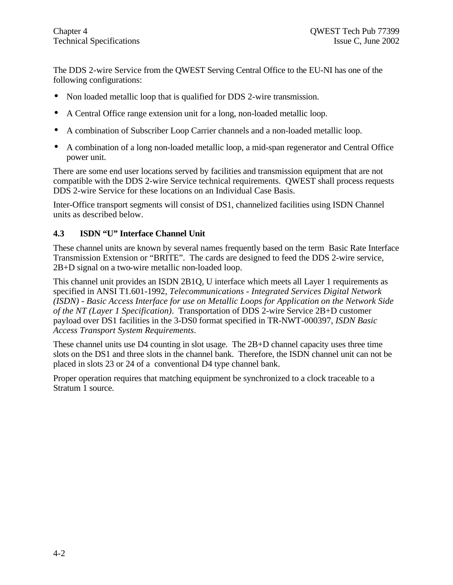The DDS 2-wire Service from the QWEST Serving Central Office to the EU-NI has one of the following configurations:

- Non loaded metallic loop that is qualified for DDS 2-wire transmission.
- A Central Office range extension unit for a long, non-loaded metallic loop.
- A combination of Subscriber Loop Carrier channels and a non-loaded metallic loop.
- A combination of a long non-loaded metallic loop, a mid-span regenerator and Central Office power unit.

There are some end user locations served by facilities and transmission equipment that are not compatible with the DDS 2-wire Service technical requirements. QWEST shall process requests DDS 2-wire Service for these locations on an Individual Case Basis.

Inter-Office transport segments will consist of DS1, channelized facilities using ISDN Channel units as described below.

#### **4.3 ISDN "U" Interface Channel Unit**

These channel units are known by several names frequently based on the term Basic Rate Interface Transmission Extension or "BRITE". The cards are designed to feed the DDS 2-wire service, 2B+D signal on a two-wire metallic non-loaded loop.

This channel unit provides an ISDN 2B1Q, U interface which meets all Layer 1 requirements as specified in ANSI T1.601-1992, *Telecommunications - Integrated Services Digital Network (ISDN) - Basic Access Interface for use on Metallic Loops for Application on the Network Side of the NT (Layer 1 Specification)*. Transportation of DDS 2-wire Service 2B+D customer payload over DS1 facilities in the 3-DS0 format specified in TR-NWT-000397, *ISDN Basic Access Transport System Requirements*.

These channel units use D4 counting in slot usage. The 2B+D channel capacity uses three time slots on the DS1 and three slots in the channel bank. Therefore, the ISDN channel unit can not be placed in slots 23 or 24 of a conventional D4 type channel bank.

Proper operation requires that matching equipment be synchronized to a clock traceable to a Stratum 1 source.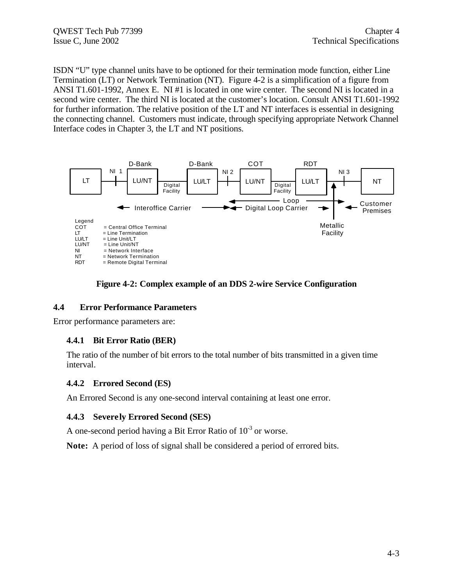ISDN "U" type channel units have to be optioned for their termination mode function, either Line Termination (LT) or Network Termination (NT). Figure 4-2 is a simplification of a figure from ANSI T1.601-1992, Annex E. NI #1 is located in one wire center. The second NI is located in a second wire center. The third NI is located at the customer's location. Consult ANSI T1.601-1992 for further information. The relative position of the LT and NT interfaces is essential in designing the connecting channel. Customers must indicate, through specifying appropriate Network Channel Interface codes in Chapter 3, the LT and NT positions.





#### **4.4 Error Performance Parameters**

Error performance parameters are:

#### **4.4.1 Bit Error Ratio (BER)**

The ratio of the number of bit errors to the total number of bits transmitted in a given time interval.

#### **4.4.2 Errored Second (ES)**

An Errored Second is any one-second interval containing at least one error.

#### **4.4.3 Severely Errored Second (SES)**

A one-second period having a Bit Error Ratio of  $10^{-3}$  or worse.

**Note:** A period of loss of signal shall be considered a period of errored bits.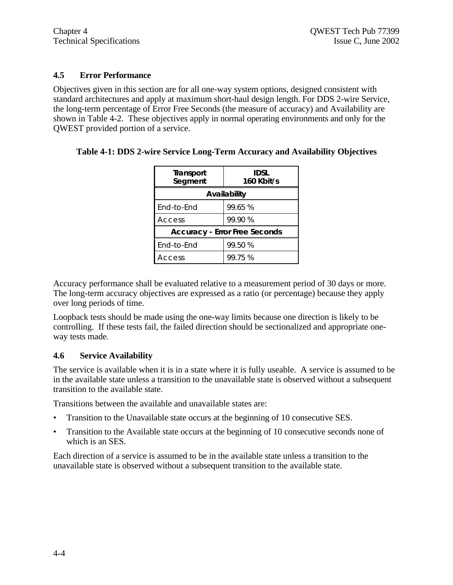#### **4.5 Error Performance**

Objectives given in this section are for all one-way system options, designed consistent with standard architectures and apply at maximum short-haul design length. For DDS 2-wire Service, the long-term percentage of Error Free Seconds (the measure of accuracy) and Availability are shown in Table 4-2. These objectives apply in normal operating environments and only for the QWEST provided portion of a service.

#### **Table 4-1: DDS 2-wire Service Long-Term Accuracy and Availability Objectives**

| Transport<br>Segment | <b>IDSL</b><br>160 Kbit/s            |
|----------------------|--------------------------------------|
|                      | Availability                         |
| End-to-End           | 99.65 %                              |
| Access               | 99.90 %                              |
|                      | <b>Accuracy - Error Free Seconds</b> |
| End-to-End           | 99.50 %                              |
| <b>Access</b>        | 99.75 %                              |

Accuracy performance shall be evaluated relative to a measurement period of 30 days or more. The long-term accuracy objectives are expressed as a ratio (or percentage) because they apply over long periods of time.

Loopback tests should be made using the one-way limits because one direction is likely to be controlling. If these tests fail, the failed direction should be sectionalized and appropriate oneway tests made.

#### **4.6 Service Availability**

The service is available when it is in a state where it is fully useable. A service is assumed to be in the available state unless a transition to the unavailable state is observed without a subsequent transition to the available state.

Transitions between the available and unavailable states are:

- Transition to the Unavailable state occurs at the beginning of 10 consecutive SES.
- Transition to the Available state occurs at the beginning of 10 consecutive seconds none of which is an SES.

Each direction of a service is assumed to be in the available state unless a transition to the unavailable state is observed without a subsequent transition to the available state.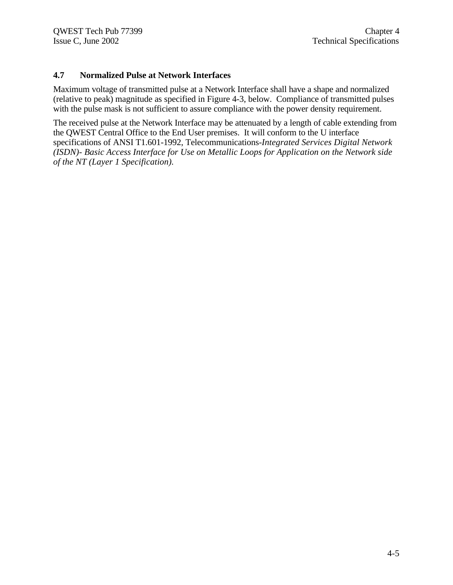#### **4.7 Normalized Pulse at Network Interfaces**

Maximum voltage of transmitted pulse at a Network Interface shall have a shape and normalized (relative to peak) magnitude as specified in Figure 4-3, below. Compliance of transmitted pulses with the pulse mask is not sufficient to assure compliance with the power density requirement.

The received pulse at the Network Interface may be attenuated by a length of cable extending from the QWEST Central Office to the End User premises. It will conform to the U interface specifications of ANSI T1.601-1992, Telecommunications-*Integrated Services Digital Network (ISDN)- Basic Access Interface for Use on Metallic Loops for Application on the Network side of the NT (Layer 1 Specification).*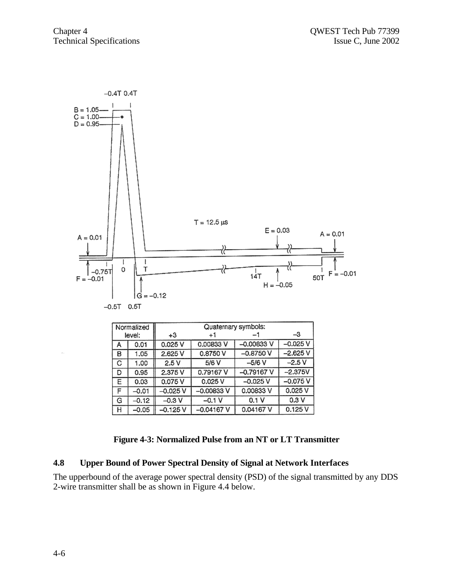

#### **Figure 4-3: Normalized Pulse from an NT or LT Transmitter**

0.04167 V

 $0.125V$ 

 $-0.04167V$ 

#### **4.8 Upper Bound of Power Spectral Density of Signal at Network Interfaces**

 $-0.125V$ 

н

 $-0.05$ 

The upperbound of the average power spectral density (PSD) of the signal transmitted by any DDS 2-wire transmitter shall be as shown in Figure 4.4 below.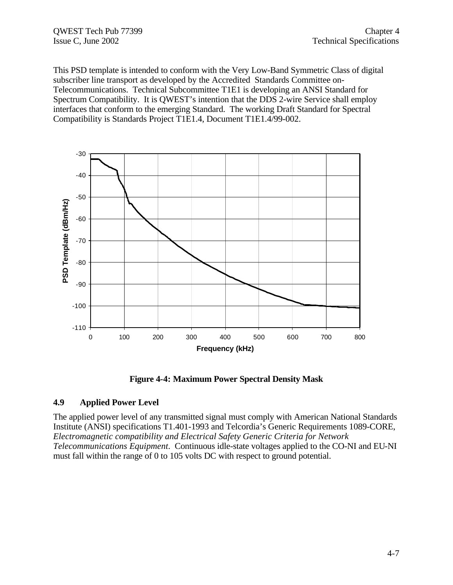This PSD template is intended to conform with the Very Low-Band Symmetric Class of digital subscriber line transport as developed by the Accredited Standards Committee on-Telecommunications. Technical Subcommittee T1E1 is developing an ANSI Standard for Spectrum Compatibility. It is QWEST's intention that the DDS 2-wire Service shall employ interfaces that conform to the emerging Standard. The working Draft Standard for Spectral Compatibility is Standards Project T1E1.4, Document T1E1.4/99-002.



**Figure 4-4: Maximum Power Spectral Density Mask**

#### **4.9 Applied Power Level**

The applied power level of any transmitted signal must comply with American National Standards Institute (ANSI) specifications T1.401-1993 and Telcordia's Generic Requirements 1089-CORE, *Electromagnetic compatibility and Electrical Safety Generic Criteria for Network Telecommunications Equipment*. Continuous idle-state voltages applied to the CO-NI and EU-NI must fall within the range of 0 to 105 volts DC with respect to ground potential.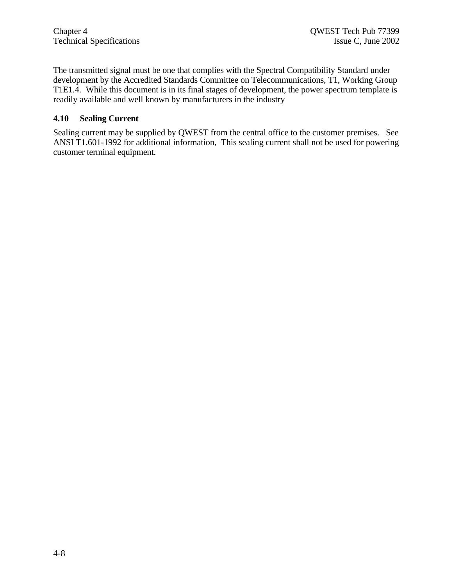The transmitted signal must be one that complies with the Spectral Compatibility Standard under development by the Accredited Standards Committee on Telecommunications, T1, Working Group T1E1.4. While this document is in its final stages of development, the power spectrum template is readily available and well known by manufacturers in the industry

#### **4.10 Sealing Current**

Sealing current may be supplied by QWEST from the central office to the customer premises. See ANSI T1.601-1992 for additional information, This sealing current shall not be used for powering customer terminal equipment.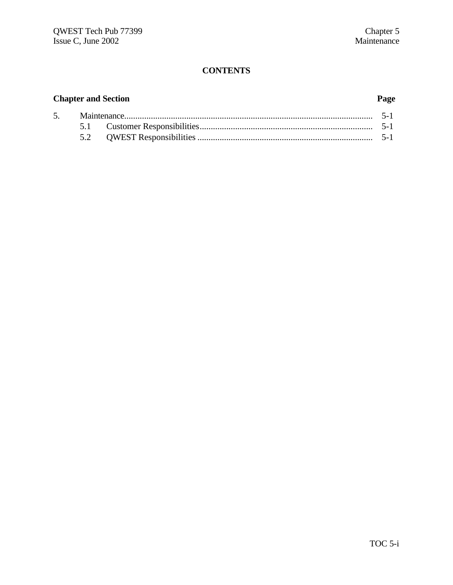# **CONTENTS**

# **Chapter and Section Page**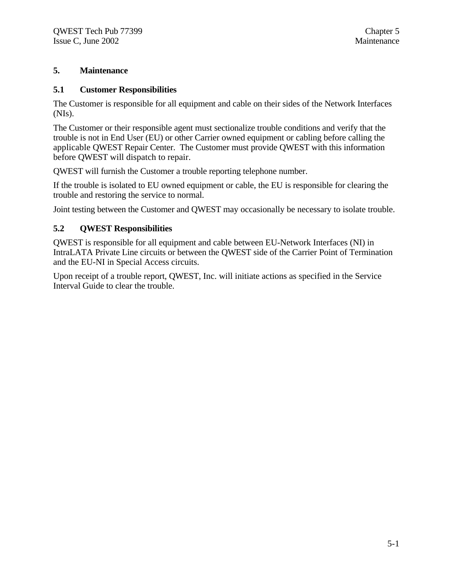### **5. Maintenance**

#### **5.1 Customer Responsibilities**

The Customer is responsible for all equipment and cable on their sides of the Network Interfaces (NIs).

The Customer or their responsible agent must sectionalize trouble conditions and verify that the trouble is not in End User (EU) or other Carrier owned equipment or cabling before calling the applicable QWEST Repair Center. The Customer must provide QWEST with this information before QWEST will dispatch to repair.

QWEST will furnish the Customer a trouble reporting telephone number.

If the trouble is isolated to EU owned equipment or cable, the EU is responsible for clearing the trouble and restoring the service to normal.

Joint testing between the Customer and QWEST may occasionally be necessary to isolate trouble.

#### **5.2 QWEST Responsibilities**

QWEST is responsible for all equipment and cable between EU-Network Interfaces (NI) in IntraLATA Private Line circuits or between the QWEST side of the Carrier Point of Termination and the EU-NI in Special Access circuits.

Upon receipt of a trouble report, QWEST, Inc. will initiate actions as specified in the Service Interval Guide to clear the trouble.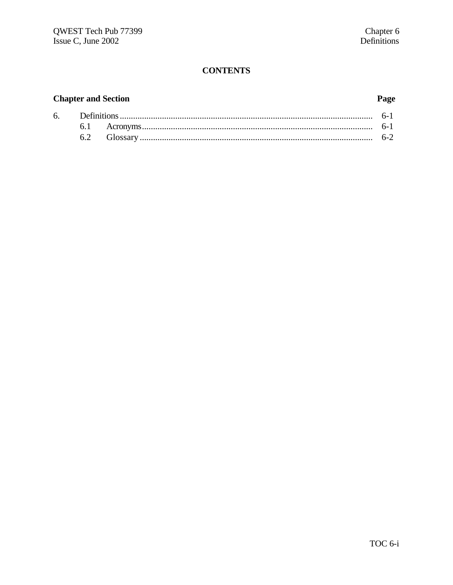# **CONTENTS**

# **Chapter and Section**

# Page

|  | $6 - 7$ |
|--|---------|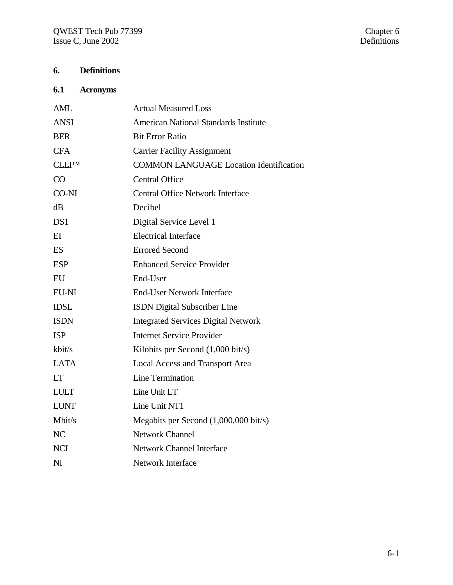# **6. Definitions**

# **6.1 Acronyms**

| AML            | <b>Actual Measured Loss</b>                     |
|----------------|-------------------------------------------------|
| <b>ANSI</b>    | <b>American National Standards Institute</b>    |
| <b>BER</b>     | <b>Bit Error Ratio</b>                          |
| <b>CFA</b>     | <b>Carrier Facility Assignment</b>              |
| <b>CLLITM</b>  | <b>COMMON LANGUAGE Location Identification</b>  |
| CO             | <b>Central Office</b>                           |
| CO-NI          | <b>Central Office Network Interface</b>         |
| dB             | Decibel                                         |
| DS1            | Digital Service Level 1                         |
| $E$ I          | <b>Electrical Interface</b>                     |
| <b>ES</b>      | <b>Errored Second</b>                           |
| <b>ESP</b>     | <b>Enhanced Service Provider</b>                |
| EU             | End-User                                        |
| EU-NI          | <b>End-User Network Interface</b>               |
| <b>IDSL</b>    | <b>ISDN</b> Digital Subscriber Line             |
| <b>ISDN</b>    | <b>Integrated Services Digital Network</b>      |
| <b>ISP</b>     | <b>Internet Service Provider</b>                |
| kbit/s         | Kilobits per Second (1,000 bit/s)               |
| <b>LATA</b>    | <b>Local Access and Transport Area</b>          |
| <b>LT</b>      | Line Termination                                |
| <b>LULT</b>    | Line Unit LT                                    |
| <b>LUNT</b>    | Line Unit NT1                                   |
| Mbit/s         | Megabits per Second $(1,000,000 \text{ bit/s})$ |
| NC             | <b>Network Channel</b>                          |
| <b>NCI</b>     | <b>Network Channel Interface</b>                |
| N <sub>I</sub> | <b>Network Interface</b>                        |
|                |                                                 |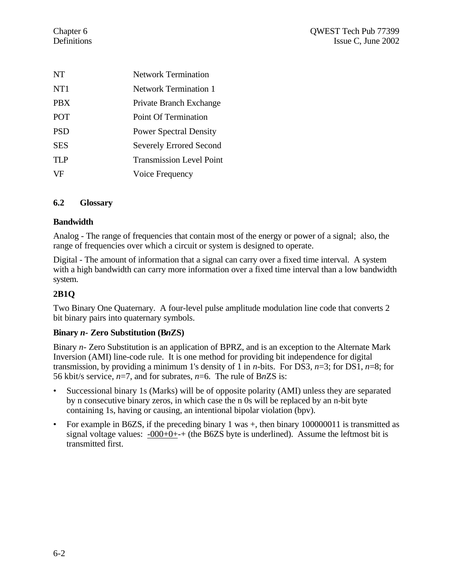| NT              | <b>Network Termination</b>      |
|-----------------|---------------------------------|
| NT <sub>1</sub> | Network Termination 1           |
| <b>PRX</b>      | Private Branch Exchange         |
| <b>POT</b>      | <b>Point Of Termination</b>     |
| <b>PSD</b>      | <b>Power Spectral Density</b>   |
| SES             | <b>Severely Errored Second</b>  |
| <b>TLP</b>      | <b>Transmission Level Point</b> |
| VF              | Voice Frequency                 |
|                 |                                 |

#### **6.2 Glossary**

#### **Bandwidth**

Analog - The range of frequencies that contain most of the energy or power of a signal; also, the range of frequencies over which a circuit or system is designed to operate.

Digital - The amount of information that a signal can carry over a fixed time interval. A system with a high bandwidth can carry more information over a fixed time interval than a low bandwidth system.

#### **2B1Q**

Two Binary One Quaternary. A four-level pulse amplitude modulation line code that converts 2 bit binary pairs into quaternary symbols.

#### **Binary** *n-* **Zero Substitution (B***n***ZS)**

Binary *n*- Zero Substitution is an application of BPRZ, and is an exception to the Alternate Mark Inversion (AMI) line-code rule. It is one method for providing bit independence for digital transmission, by providing a minimum 1's density of 1 in *n*-bits. For DS3, *n*=3; for DS1, *n*=8; for 56 kbit/s service, *n*=7, and for subrates, *n*=6. The rule of B*n*ZS is:

- Successional binary 1s (Marks) will be of opposite polarity (AMI) unless they are separated by n consecutive binary zeros, in which case the n 0s will be replaced by an n-bit byte containing 1s, having or causing, an intentional bipolar violation (bpv).
- For example in B6ZS, if the preceding binary 1 was  $+$ , then binary 100000011 is transmitted as signal voltage values:  $-000+0++$  (the B6ZS byte is underlined). Assume the leftmost bit is transmitted first.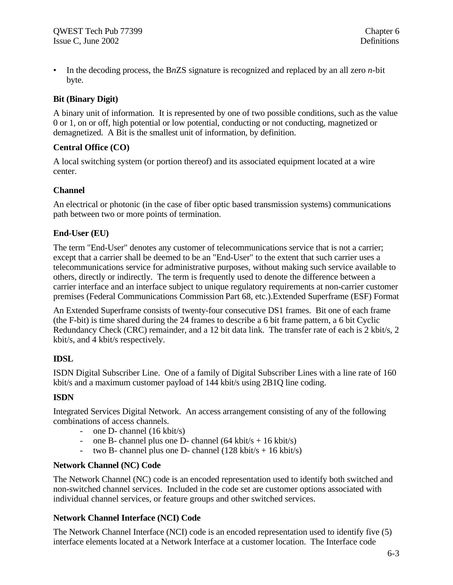• In the decoding process, the B*n*ZS signature is recognized and replaced by an all zero *n*-bit byte.

#### **Bit (Binary Digit)**

A binary unit of information. It is represented by one of two possible conditions, such as the value 0 or 1, on or off, high potential or low potential, conducting or not conducting, magnetized or demagnetized. A Bit is the smallest unit of information, by definition.

#### **Central Office (CO)**

A local switching system (or portion thereof) and its associated equipment located at a wire center.

#### **Channel**

An electrical or photonic (in the case of fiber optic based transmission systems) communications path between two or more points of termination.

#### **End-User (EU)**

The term "End-User" denotes any customer of telecommunications service that is not a carrier; except that a carrier shall be deemed to be an "End-User" to the extent that such carrier uses a telecommunications service for administrative purposes, without making such service available to others, directly or indirectly. The term is frequently used to denote the difference between a carrier interface and an interface subject to unique regulatory requirements at non-carrier customer premises (Federal Communications Commission Part 68, etc.).Extended Superframe (ESF) Format

An Extended Superframe consists of twenty-four consecutive DS1 frames. Bit one of each frame (the F-bit) is time shared during the 24 frames to describe a 6 bit frame pattern, a 6 bit Cyclic Redundancy Check (CRC) remainder, and a 12 bit data link. The transfer rate of each is 2 kbit/s, 2 kbit/s, and 4 kbit/s respectively.

#### **IDSL**

ISDN Digital Subscriber Line. One of a family of Digital Subscriber Lines with a line rate of 160 kbit/s and a maximum customer payload of 144 kbit/s using 2B1Q line coding.

#### **ISDN**

Integrated Services Digital Network. An access arrangement consisting of any of the following combinations of access channels.

- one D- channel (16 kbit/s)
- one B- channel plus one D- channel  $(64 \text{ kbit/s} + 16 \text{ kbit/s})$
- two B- channel plus one D- channel  $(128 \text{ kbit/s} + 16 \text{ kbit/s})$

#### **Network Channel (NC) Code**

The Network Channel (NC) code is an encoded representation used to identify both switched and non-switched channel services. Included in the code set are customer options associated with individual channel services, or feature groups and other switched services.

#### **Network Channel Interface (NCI) Code**

The Network Channel Interface (NCI) code is an encoded representation used to identify five (5) interface elements located at a Network Interface at a customer location. The Interface code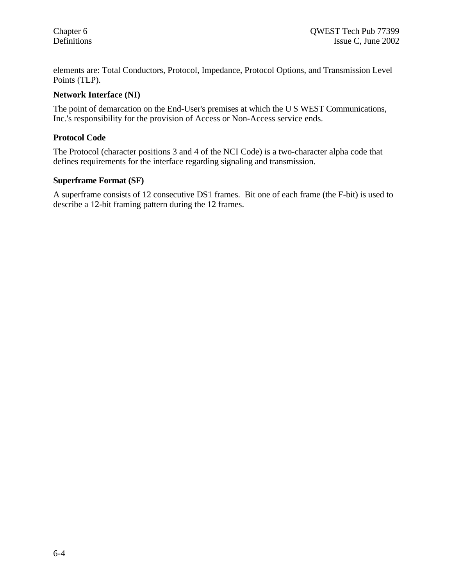elements are: Total Conductors, Protocol, Impedance, Protocol Options, and Transmission Level Points (TLP).

#### **Network Interface (NI)**

The point of demarcation on the End-User's premises at which the U S WEST Communications, Inc.'s responsibility for the provision of Access or Non-Access service ends.

#### **Protocol Code**

The Protocol (character positions 3 and 4 of the NCI Code) is a two-character alpha code that defines requirements for the interface regarding signaling and transmission.

#### **Superframe Format (SF)**

A superframe consists of 12 consecutive DS1 frames. Bit one of each frame (the F-bit) is used to describe a 12-bit framing pattern during the 12 frames.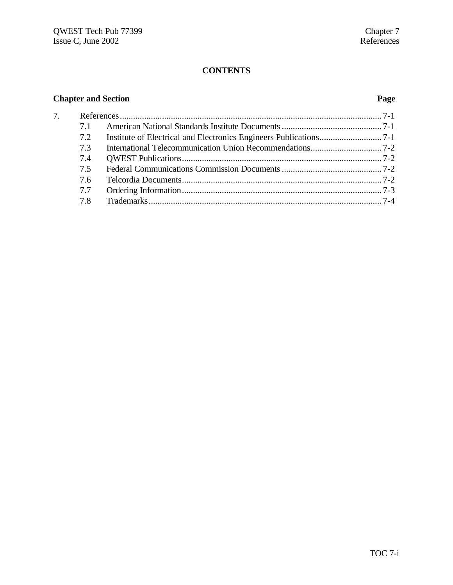# **CONTENTS**

# **Chapter and Section Page**

| 7. |     |  |
|----|-----|--|
|    | 71  |  |
|    | 7.2 |  |
|    | 7.3 |  |
|    | 7.4 |  |
|    | 7.5 |  |
|    | 7.6 |  |
|    | 7.7 |  |
|    | 7.8 |  |
|    |     |  |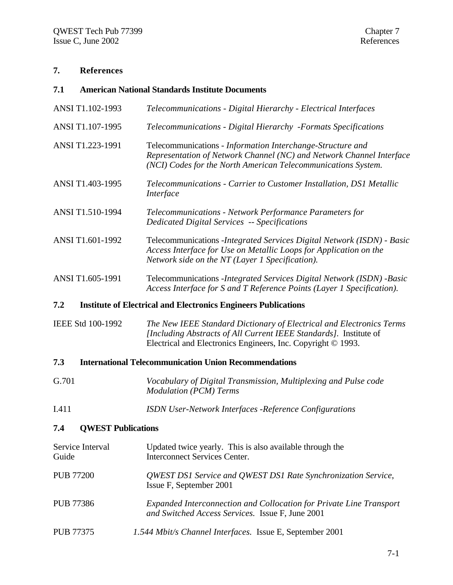# **7. References**

| 7.1               | <b>American National Standards Institute Documents</b> |                                                                                                                                                                                                           |  |  |  |  |
|-------------------|--------------------------------------------------------|-----------------------------------------------------------------------------------------------------------------------------------------------------------------------------------------------------------|--|--|--|--|
|                   | ANSI T1.102-1993                                       | Telecommunications - Digital Hierarchy - Electrical Interfaces                                                                                                                                            |  |  |  |  |
|                   | ANSI T1.107-1995                                       | Telecommunications - Digital Hierarchy - Formats Specifications                                                                                                                                           |  |  |  |  |
|                   | ANSI T1.223-1991                                       | Telecommunications - Information Interchange-Structure and<br>Representation of Network Channel (NC) and Network Channel Interface<br>(NCI) Codes for the North American Telecommunications System.       |  |  |  |  |
|                   | ANSI T1.403-1995                                       | Telecommunications - Carrier to Customer Installation, DS1 Metallic<br>Interface                                                                                                                          |  |  |  |  |
|                   | ANSI T1.510-1994                                       | Telecommunications - Network Performance Parameters for<br><b>Dedicated Digital Services -- Specifications</b>                                                                                            |  |  |  |  |
|                   | ANSI T1.601-1992                                       | Telecommunications - Integrated Services Digital Network (ISDN) - Basic<br>Access Interface for Use on Metallic Loops for Application on the<br>Network side on the NT (Layer 1 Specification).           |  |  |  |  |
|                   | ANSI T1.605-1991                                       | Telecommunications - Integrated Services Digital Network (ISDN) - Basic<br>Access Interface for S and T Reference Points (Layer 1 Specification).                                                         |  |  |  |  |
| 7.2               |                                                        | <b>Institute of Electrical and Electronics Engineers Publications</b>                                                                                                                                     |  |  |  |  |
| IEEE Std 100-1992 |                                                        | The New IEEE Standard Dictionary of Electrical and Electronics Terms<br>[Including Abstracts of All Current IEEE Standards]. Institute of<br>Electrical and Electronics Engineers, Inc. Copyright © 1993. |  |  |  |  |
| 7.3               |                                                        | <b>International Telecommunication Union Recommendations</b>                                                                                                                                              |  |  |  |  |
| G.701             |                                                        | Vocabulary of Digital Transmission, Multiplexing and Pulse code<br><b>Modulation (PCM) Terms</b>                                                                                                          |  |  |  |  |
| I.411             |                                                        | ISDN User-Network Interfaces -Reference Configurations                                                                                                                                                    |  |  |  |  |
| 7.4               | <b>QWEST Publications</b>                              |                                                                                                                                                                                                           |  |  |  |  |
| Guide             | Service Interval                                       | Updated twice yearly. This is also available through the<br><b>Interconnect Services Center.</b>                                                                                                          |  |  |  |  |
| <b>PUB 77200</b>  |                                                        | QWEST DS1 Service and QWEST DS1 Rate Synchronization Service,<br>Issue F, September 2001                                                                                                                  |  |  |  |  |

- PUB 77386 *Expanded Interconnection and Collocation for Private Line Transport and Switched Access Services.* Issue F, June 2001
- PUB 77375 *1.544 Mbit/s Channel Interfaces.* Issue E, September 2001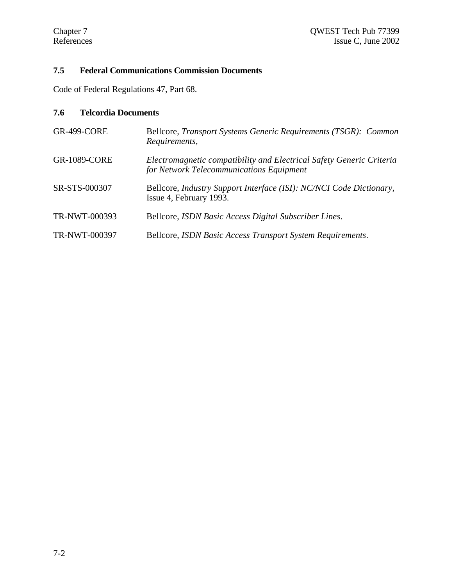# **7.5 Federal Communications Commission Documents**

Code of Federal Regulations 47, Part 68.

# **7.6 Telcordia Documents**

| <b>GR-499-CORE</b>  | Bellcore, Transport Systems Generic Requirements (TSGR): Common<br>Requirements,                                 |
|---------------------|------------------------------------------------------------------------------------------------------------------|
| <b>GR-1089-CORE</b> | Electromagnetic compatibility and Electrical Safety Generic Criteria<br>for Network Telecommunications Equipment |
| SR-STS-000307       | Bellcore, Industry Support Interface (ISI): NC/NCI Code Dictionary,<br>Issue 4, February 1993.                   |
| TR-NWT-000393       | Bellcore, ISDN Basic Access Digital Subscriber Lines.                                                            |
| TR-NWT-000397       | Bellcore, ISDN Basic Access Transport System Requirements.                                                       |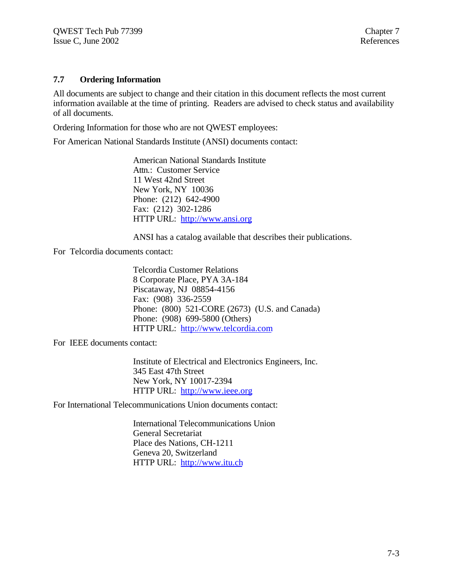#### **7.7 Ordering Information**

All documents are subject to change and their citation in this document reflects the most current information available at the time of printing. Readers are advised to check status and availability of all documents.

Ordering Information for those who are not QWEST employees:

For American National Standards Institute (ANSI) documents contact:

American National Standards Institute Attn.: Customer Service 11 West 42nd Street New York, NY 10036 Phone: (212) 642-4900 Fax: (212) 302-1286 HTTP URL: http://www.ansi.org

ANSI has a catalog available that describes their publications.

For Telcordia documents contact:

Telcordia Customer Relations 8 Corporate Place, PYA 3A-184 Piscataway, NJ 08854-4156 Fax: (908) 336-2559 Phone: (800) 521-CORE (2673) (U.S. and Canada) Phone: (908) 699-5800 (Others) HTTP URL: http://www.telcordia.com

For IEEE documents contact:

Institute of Electrical and Electronics Engineers, Inc. 345 East 47th Street New York, NY 10017-2394 HTTP URL: http://www.ieee.org

For International Telecommunications Union documents contact:

International Telecommunications Union General Secretariat Place des Nations, CH-1211 Geneva 20, Switzerland HTTP URL: http://www.itu.ch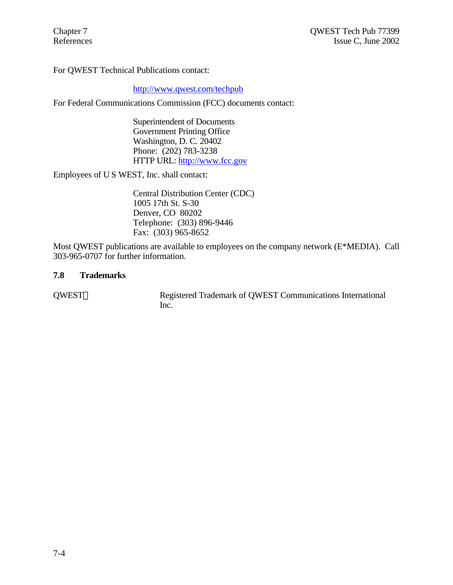For QWEST Technical Publications contact:

#### http://www.qwest.com/techpub

For Federal Communications Commission (FCC) documents contact:

Superintendent of Documents Government Printing Office Washington, D. C. 20402 Phone: (202) 783-3238 HTTP URL: http://www.fcc.gov

Employees of U S WEST, Inc. shall contact:

Central Distribution Center (CDC) 1005 17th St. S-30 Denver, CO 80202 Telephone: (303) 896-9446 Fax: (303) 965-8652

Most QWEST publications are available to employees on the company network (E\*MEDIA). Call 303-965-0707 for further information.

#### **7.8 Trademarks**

QWEST<sup>®</sup> Registered Trademark of QWEST Communications International Inc.